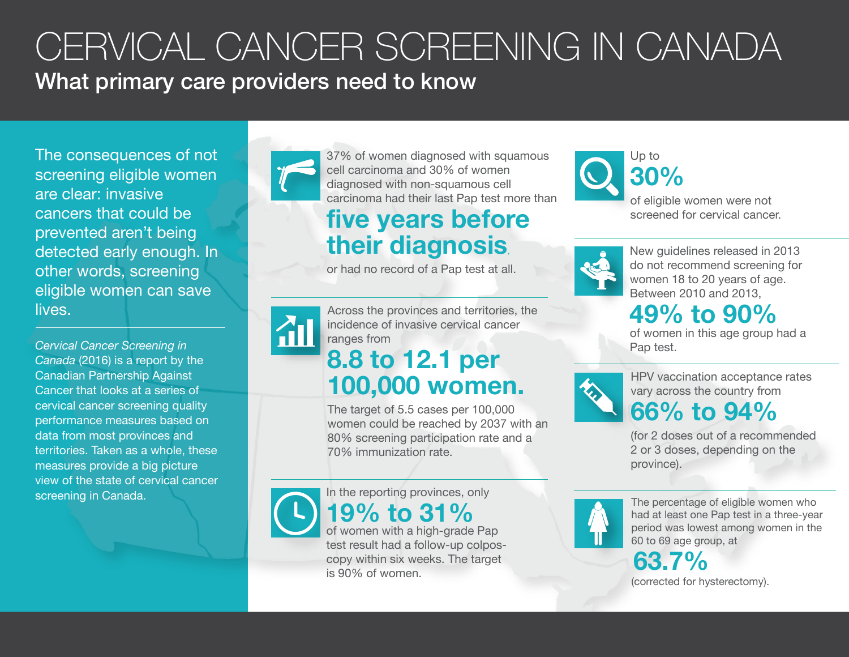# CERVICAL CANCER SCREENING IN CANADA What primary care providers need to know

The consequences of not screening eligible women are clear: invasive cancers that could be prevented aren't being detected early enough. In other words, screening eligible women can save lives.

*Cervical Cancer Screening in Canada* (2016) is a report by the Canadian Partnership Against Cancer that looks at a series of cervical cancer screening quality performance measures based on data from most provinces and territories. Taken as a whole, these measures provide a big picture view of the state of cervical cancer screening in Canada. In the reporting provinces, only



37% of women diagnosed with squamous cell carcinoma and 30% of women diagnosed with non-squamous cell carcinoma had their last Pap test more than

## **five years before their diagnosis**,

or had no record of a Pap test at all.



Across the provinces and territories, the incidence of invasive cervical cancer ranges from

## **8.8 to 12.1 per 100,000 women.**

The target of 5.5 cases per 100,000 women could be reached by 2037 with an 80% screening participation rate and a 70% immunization rate.



test result had a follow-up colposcopy within six weeks. The target is 90% of women.



**30%**  of eligible women were not screened for cervical cancer.



New guidelines released in 2013 do not recommend screening for women 18 to 20 years of age. Between 2010 and 2013,

### **49% to 90%**

of women in this age group had a Pap test.



HPV vaccination acceptance rates vary across the country from **66% to 94%**

(for 2 doses out of a recommended 2 or 3 doses, depending on the province).



The percentage of eligible women who had at least one Pap test in a three-year period was lowest among women in the 60 to 69 age group, at

**63.7%** (corrected for hysterectomy).